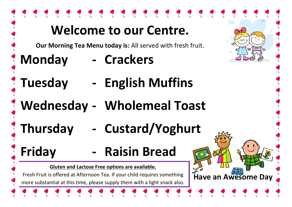| <b>Welcome to our Centre.</b><br>nn                                                                                                                                                                                                                                             |                                                                           |  |  |
|---------------------------------------------------------------------------------------------------------------------------------------------------------------------------------------------------------------------------------------------------------------------------------|---------------------------------------------------------------------------|--|--|
| <b>Monday</b>                                                                                                                                                                                                                                                                   | Our Morning Tea Menu today is: All served with fresh fruit.<br>- Crackers |  |  |
| <i><b>Tuesday</b></i>                                                                                                                                                                                                                                                           | - English Muffins                                                         |  |  |
| Wednesday - Wholemeal Toast                                                                                                                                                                                                                                                     |                                                                           |  |  |
| <b>Inursday</b><br>- Custard/Yoghurt                                                                                                                                                                                                                                            |                                                                           |  |  |
| Friday                                                                                                                                                                                                                                                                          | <b>Raisin Bread</b>                                                       |  |  |
| Gluten and Lactose Free options are available.<br>பப<br><b>July</b><br>$\frac{1}{200}$<br>Fresh Fruit is offered at Afternoon Tea. If your child requires something<br><b>Have an Awesome Day</b><br>more substantial at this time, please supply them with a light snack also. |                                                                           |  |  |
|                                                                                                                                                                                                                                                                                 |                                                                           |  |  |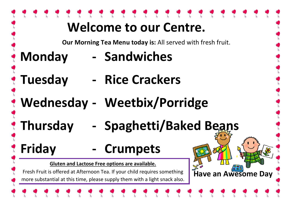|                                                                                                                                                                                                                                                                 | <b>Welcome to our Centre.</b> |  |  |  |
|-----------------------------------------------------------------------------------------------------------------------------------------------------------------------------------------------------------------------------------------------------------------|-------------------------------|--|--|--|
| Our Morning Tea Menu today is: All served with fresh fruit.                                                                                                                                                                                                     |                               |  |  |  |
| <b>Monday</b>                                                                                                                                                                                                                                                   | - Sandwiches                  |  |  |  |
| <b>Tuesday</b>                                                                                                                                                                                                                                                  | - Rice Crackers               |  |  |  |
| Wednesday - Weetbix/Porridge                                                                                                                                                                                                                                    |                               |  |  |  |
| - Spaghetti/Baked Beans<br><b>Thursday</b>                                                                                                                                                                                                                      |                               |  |  |  |
| <b><i>S</i></b> Friday                                                                                                                                                                                                                                          | - Crumpets                    |  |  |  |
| <b>Gluten and Lactose Free options are available.</b><br>$\frac{1}{2}$<br>န္း<br>Have an Awesome Day<br>Fresh Fruit is offered at Afternoon Tea. If your child requires something<br>more substantial at this time, please supply them with a light snack also. |                               |  |  |  |
|                                                                                                                                                                                                                                                                 |                               |  |  |  |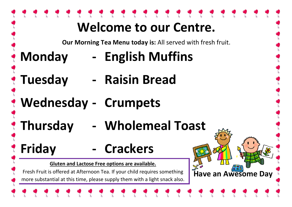## **Welcome to our Centre. Our Morning Tea Menu today is:** All served with fresh fruit. **Monday - English Muffins Tuesday - Raisin Bread Wednesday - Crumpets Thursday - Wholemeal Toast Friday - Crackers Gluten and Lactose Free options are available.**  န္း<br>Have an Awesome Day Fresh Fruit is offered at Afternoon Tea. If your child requires something more substantial at this time, please supply them with a light snack also.